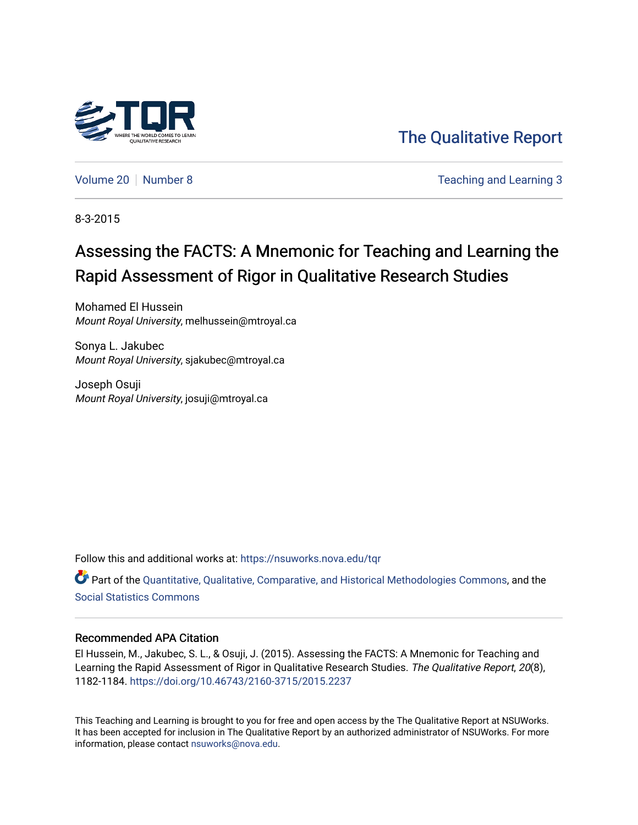

[The Qualitative Report](https://nsuworks.nova.edu/tqr) 

[Volume 20](https://nsuworks.nova.edu/tqr/vol20) [Number 8](https://nsuworks.nova.edu/tqr/vol20/iss8) Teaching and Learning 3

8-3-2015

## Assessing the FACTS: A Mnemonic for Teaching and Learning the Rapid Assessment of Rigor in Qualitative Research Studies

Mohamed El Hussein Mount Royal University, melhussein@mtroyal.ca

Sonya L. Jakubec Mount Royal University, sjakubec@mtroyal.ca

Joseph Osuji Mount Royal University, josuji@mtroyal.ca

Follow this and additional works at: [https://nsuworks.nova.edu/tqr](https://nsuworks.nova.edu/tqr?utm_source=nsuworks.nova.edu%2Ftqr%2Fvol20%2Fiss8%2F3&utm_medium=PDF&utm_campaign=PDFCoverPages) 

Part of the [Quantitative, Qualitative, Comparative, and Historical Methodologies Commons,](http://network.bepress.com/hgg/discipline/423?utm_source=nsuworks.nova.edu%2Ftqr%2Fvol20%2Fiss8%2F3&utm_medium=PDF&utm_campaign=PDFCoverPages) and the [Social Statistics Commons](http://network.bepress.com/hgg/discipline/1275?utm_source=nsuworks.nova.edu%2Ftqr%2Fvol20%2Fiss8%2F3&utm_medium=PDF&utm_campaign=PDFCoverPages) 

#### Recommended APA Citation

El Hussein, M., Jakubec, S. L., & Osuji, J. (2015). Assessing the FACTS: A Mnemonic for Teaching and Learning the Rapid Assessment of Rigor in Qualitative Research Studies. The Qualitative Report, 20(8), 1182-1184. <https://doi.org/10.46743/2160-3715/2015.2237>

This Teaching and Learning is brought to you for free and open access by the The Qualitative Report at NSUWorks. It has been accepted for inclusion in The Qualitative Report by an authorized administrator of NSUWorks. For more information, please contact [nsuworks@nova.edu.](mailto:nsuworks@nova.edu)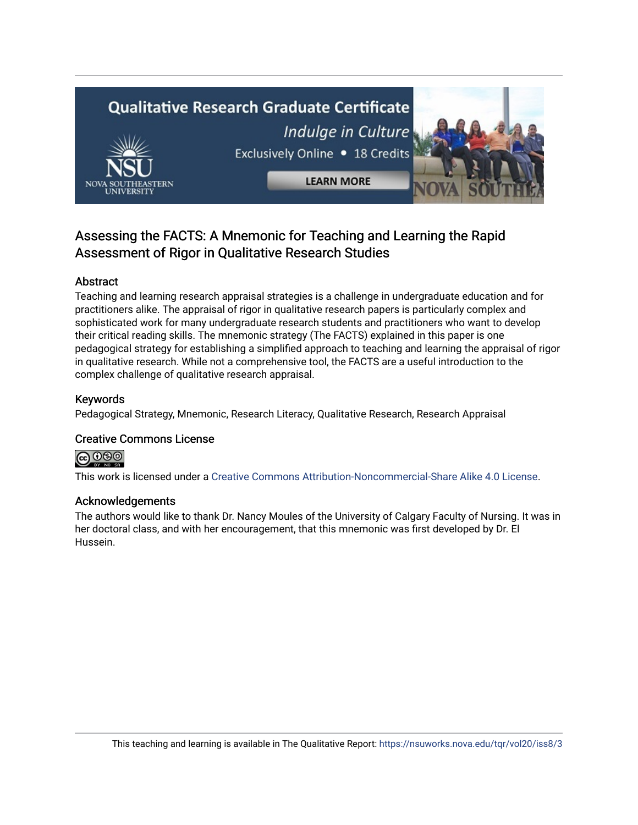# **Qualitative Research Graduate Certificate** Indulge in Culture Exclusively Online . 18 Credits **LEARN MORE**

### Assessing the FACTS: A Mnemonic for Teaching and Learning the Rapid Assessment of Rigor in Qualitative Research Studies

#### Abstract

Teaching and learning research appraisal strategies is a challenge in undergraduate education and for practitioners alike. The appraisal of rigor in qualitative research papers is particularly complex and sophisticated work for many undergraduate research students and practitioners who want to develop their critical reading skills. The mnemonic strategy (The FACTS) explained in this paper is one pedagogical strategy for establishing a simplified approach to teaching and learning the appraisal of rigor in qualitative research. While not a comprehensive tool, the FACTS are a useful introduction to the complex challenge of qualitative research appraisal.

#### Keywords

Pedagogical Strategy, Mnemonic, Research Literacy, Qualitative Research, Research Appraisal

#### Creative Commons License



This work is licensed under a [Creative Commons Attribution-Noncommercial-Share Alike 4.0 License](https://creativecommons.org/licenses/by-nc-sa/4.0/).

#### Acknowledgements

The authors would like to thank Dr. Nancy Moules of the University of Calgary Faculty of Nursing. It was in her doctoral class, and with her encouragement, that this mnemonic was first developed by Dr. El Hussein.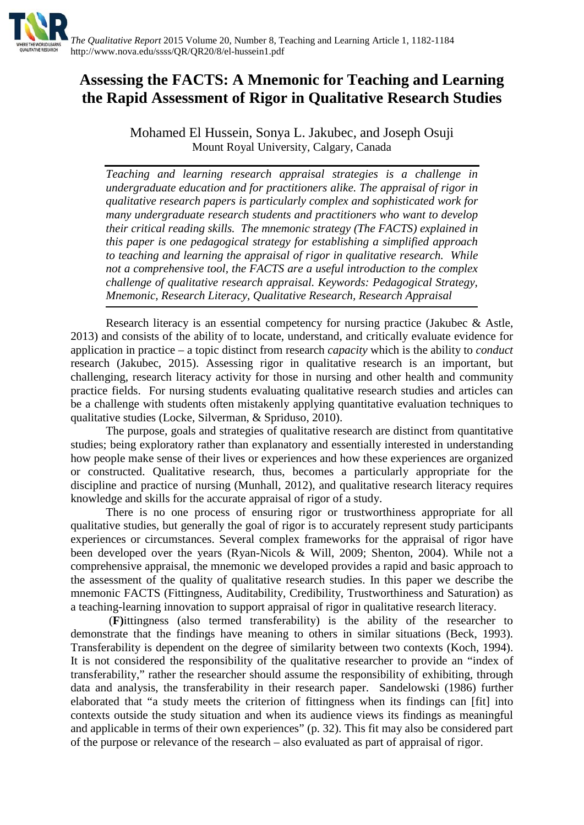

## **Assessing the FACTS: A Mnemonic for Teaching and Learning the Rapid Assessment of Rigor in Qualitative Research Studies**

Mohamed El Hussein, Sonya L. Jakubec, and Joseph Osuji Mount Royal University, Calgary, Canada

*Teaching and learning research appraisal strategies is a challenge in undergraduate education and for practitioners alike. The appraisal of rigor in qualitative research papers is particularly complex and sophisticated work for many undergraduate research students and practitioners who want to develop their critical reading skills. The mnemonic strategy (The FACTS) explained in this paper is one pedagogical strategy for establishing a simplified approach to teaching and learning the appraisal of rigor in qualitative research. While not a comprehensive tool, the FACTS are a useful introduction to the complex challenge of qualitative research appraisal. Keywords: Pedagogical Strategy, Mnemonic, Research Literacy, Qualitative Research, Research Appraisal*

Research literacy is an essential competency for nursing practice (Jakubec & Astle, 2013) and consists of the ability of to locate, understand, and critically evaluate evidence for application in practice – a topic distinct from research *capacity* which is the ability to *conduct*  research (Jakubec, 2015). Assessing rigor in qualitative research is an important, but challenging, research literacy activity for those in nursing and other health and community practice fields. For nursing students evaluating qualitative research studies and articles can be a challenge with students often mistakenly applying quantitative evaluation techniques to qualitative studies (Locke, Silverman, & Spriduso, 2010).

The purpose, goals and strategies of qualitative research are distinct from quantitative studies; being exploratory rather than explanatory and essentially interested in understanding how people make sense of their lives or experiences and how these experiences are organized or constructed. Qualitative research, thus, becomes a particularly appropriate for the discipline and practice of nursing (Munhall, 2012), and qualitative research literacy requires knowledge and skills for the accurate appraisal of rigor of a study.

There is no one process of ensuring rigor or trustworthiness appropriate for all qualitative studies, but generally the goal of rigor is to accurately represent study participants experiences or circumstances. Several complex frameworks for the appraisal of rigor have been developed over the years (Ryan-Nicols & Will, 2009; Shenton, 2004). While not a comprehensive appraisal, the mnemonic we developed provides a rapid and basic approach to the assessment of the quality of qualitative research studies. In this paper we describe the mnemonic FACTS (Fittingness, Auditability, Credibility, Trustworthiness and Saturation) as a teaching-learning innovation to support appraisal of rigor in qualitative research literacy.

(**F)**ittingness (also termed transferability) is the ability of the researcher to demonstrate that the findings have meaning to others in similar situations (Beck, 1993). Transferability is dependent on the degree of similarity between two contexts (Koch, 1994). It is not considered the responsibility of the qualitative researcher to provide an "index of transferability," rather the researcher should assume the responsibility of exhibiting, through data and analysis, the transferability in their research paper. Sandelowski (1986) further elaborated that "a study meets the criterion of fittingness when its findings can [fit] into contexts outside the study situation and when its audience views its findings as meaningful and applicable in terms of their own experiences" (p. 32). This fit may also be considered part of the purpose or relevance of the research – also evaluated as part of appraisal of rigor.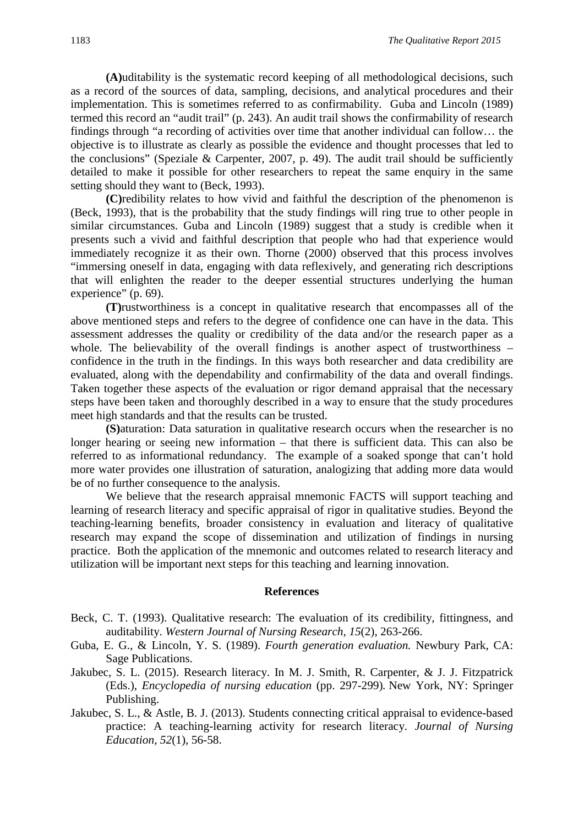**(A)**uditability is the systematic record keeping of all methodological decisions, such as a record of the sources of data, sampling, decisions, and analytical procedures and their implementation. This is sometimes referred to as confirmability. Guba and Lincoln (1989) termed this record an "audit trail" (p. 243). An audit trail shows the confirmability of research findings through "a recording of activities over time that another individual can follow… the objective is to illustrate as clearly as possible the evidence and thought processes that led to the conclusions" (Speziale & Carpenter, 2007, p. 49). The audit trail should be sufficiently detailed to make it possible for other researchers to repeat the same enquiry in the same setting should they want to (Beck, 1993).

**(C)**redibility relates to how vivid and faithful the description of the phenomenon is (Beck, 1993), that is the probability that the study findings will ring true to other people in similar circumstances. Guba and Lincoln (1989) suggest that a study is credible when it presents such a vivid and faithful description that people who had that experience would immediately recognize it as their own. Thorne (2000) observed that this process involves "immersing oneself in data, engaging with data reflexively, and generating rich descriptions that will enlighten the reader to the deeper essential structures underlying the human experience" (p. 69).

**(T)**rustworthiness is a concept in qualitative research that encompasses all of the above mentioned steps and refers to the degree of confidence one can have in the data. This assessment addresses the quality or credibility of the data and/or the research paper as a whole. The believability of the overall findings is another aspect of trustworthiness – confidence in the truth in the findings. In this ways both researcher and data credibility are evaluated, along with the dependability and confirmability of the data and overall findings. Taken together these aspects of the evaluation or rigor demand appraisal that the necessary steps have been taken and thoroughly described in a way to ensure that the study procedures meet high standards and that the results can be trusted.

**(S)**aturation: Data saturation in qualitative research occurs when the researcher is no longer hearing or seeing new information – that there is sufficient data. This can also be referred to as informational redundancy. The example of a soaked sponge that can't hold more water provides one illustration of saturation, analogizing that adding more data would be of no further consequence to the analysis.

We believe that the research appraisal mnemonic FACTS will support teaching and learning of research literacy and specific appraisal of rigor in qualitative studies. Beyond the teaching-learning benefits, broader consistency in evaluation and literacy of qualitative research may expand the scope of dissemination and utilization of findings in nursing practice. Both the application of the mnemonic and outcomes related to research literacy and utilization will be important next steps for this teaching and learning innovation.

#### **References**

- Beck, C. T. (1993). Qualitative research: The evaluation of its credibility, fittingness, and auditability. *Western Journal of Nursing Research, 15*(2), 263-266.
- Guba, E. G., & Lincoln, Y. S. (1989). *Fourth generation evaluation.* Newbury Park, CA: Sage Publications.
- Jakubec, S. L. (2015). Research literacy. In M. J. Smith, R. Carpenter, & J. J. Fitzpatrick (Eds.), *Encyclopedia of nursing education* (pp. 297-299)*.* New York, NY: Springer Publishing.
- Jakubec, S. L., & Astle, B. J. (2013). Students connecting critical appraisal to evidence-based practice: A teaching-learning activity for research literacy. *Journal of Nursing Education, 52*(1), 56-58.